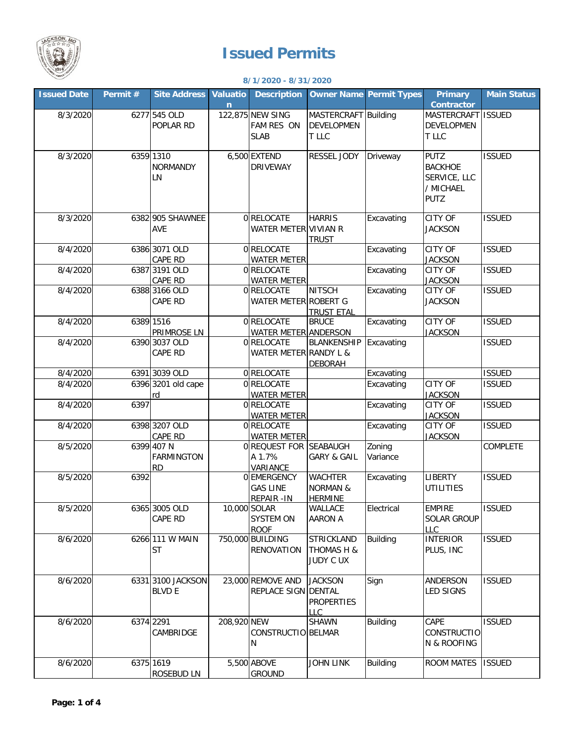

## **Issued Permits**

## **8/1/2020 - 8/31/2020**

| <b>Issued Date</b> | Permit# | <b>Site Address</b>      | <b>Valuatio</b> | <b>Description</b>              |                        | <b>Owner Name Permit Types</b> | <b>Primary</b>                   | <b>Main Status</b> |
|--------------------|---------|--------------------------|-----------------|---------------------------------|------------------------|--------------------------------|----------------------------------|--------------------|
|                    |         |                          | $\mathsf{n}$    |                                 |                        |                                | <b>Contractor</b>                |                    |
| 8/3/2020           |         | 6277 545 OLD             |                 | 122,875 NEW SING                | MASTERCRAFT Building   |                                | MASTERCRAFT ISSUED               |                    |
|                    |         | POPLAR RD                |                 | FAM RES ON                      | <b>DEVELOPMEN</b>      |                                | DEVELOPMEN                       |                    |
|                    |         |                          |                 | <b>SLAB</b>                     | T LLC                  |                                | T LLC                            |                    |
| 8/3/2020           |         | 6359 1310                |                 | 6,500 EXTEND                    | <b>RESSEL JODY</b>     | Driveway                       | <b>PUTZ</b>                      | <b>ISSUED</b>      |
|                    |         | <b>NORMANDY</b>          |                 | <b>DRIVEWAY</b>                 |                        |                                | <b>BACKHOE</b>                   |                    |
|                    |         | LN                       |                 |                                 |                        |                                | SERVICE, LLC                     |                    |
|                    |         |                          |                 |                                 |                        |                                | / MICHAEL                        |                    |
|                    |         |                          |                 |                                 |                        |                                | <b>PUTZ</b>                      |                    |
|                    |         |                          |                 |                                 |                        |                                |                                  |                    |
| 8/3/2020           |         | 6382 905 SHAWNEE         |                 | 0 RELOCATE                      | <b>HARRIS</b>          | Excavating                     | CITY OF                          | <b>ISSUED</b>      |
|                    |         | AVE                      |                 | WATER METER VIVIAN R            |                        |                                | <b>JACKSON</b>                   |                    |
|                    |         |                          |                 |                                 | <b>TRUST</b>           |                                |                                  | <b>ISSUED</b>      |
| 8/4/2020           |         | 6386 3071 OLD<br>CAPE RD |                 | 0RELOCATE<br><b>WATER METER</b> |                        | Excavating                     | CITY OF<br><b>JACKSON</b>        |                    |
| 8/4/2020           |         | 6387 3191 OLD            |                 | 0 RELOCATE                      |                        | Excavating                     | CITY OF                          | <b>ISSUED</b>      |
|                    |         | CAPE RD                  |                 | <b>WATER METER</b>              |                        |                                | <b>JACKSON</b>                   |                    |
| 8/4/2020           |         | 6388 3166 OLD            |                 | 0RELOCATE                       | <b>NITSCH</b>          | Excavating                     | CITY OF                          | <b>ISSUED</b>      |
|                    |         | CAPE RD                  |                 | WATER METER ROBERT G            |                        |                                | <b>JACKSON</b>                   |                    |
|                    |         |                          |                 |                                 | <b>TRUST ETAL</b>      |                                |                                  |                    |
| 8/4/2020           |         | 6389 1516                |                 | 0 RELOCATE                      | <b>BRUCE</b>           | Excavating                     | CITY OF                          | <b>ISSUED</b>      |
|                    |         | PRIMROSE LN              |                 | <b>WATER METER ANDERSON</b>     |                        |                                | <b>JACKSON</b>                   |                    |
| 8/4/2020           |         | 6390 3037 OLD            |                 | 0RELOCATE                       | <b>BLANKENSHIP</b>     | Excavating                     |                                  | <b>ISSUED</b>      |
|                    |         | CAPE RD                  |                 | WATER METER RANDY L &           |                        |                                |                                  |                    |
|                    |         |                          |                 |                                 | <b>DEBORAH</b>         |                                |                                  |                    |
| 8/4/2020           |         | 6391 3039 OLD            |                 | 0 RELOCATE                      |                        | Excavating                     |                                  | <b>ISSUED</b>      |
| 8/4/2020           |         | 6396 3201 old cape       |                 | 0RELOCATE                       |                        | Excavating                     | <b>CITY OF</b>                   | <b>ISSUED</b>      |
| 8/4/2020           | 6397    | rd                       |                 | <b>WATER METER</b><br>0RELOCATE |                        |                                | <b>JACKSON</b><br>CITY OF        | <b>ISSUED</b>      |
|                    |         |                          |                 | <b>WATER METER</b>              |                        | Excavating                     | <b>JACKSON</b>                   |                    |
| 8/4/2020           |         | 6398 3207 OLD            |                 | 0 RELOCATE                      |                        | Excavating                     | CITY OF                          | <b>ISSUED</b>      |
|                    |         | CAPE RD                  |                 | <b>WATER METER</b>              |                        |                                | <b>JACKSON</b>                   |                    |
| 8/5/2020           |         | 6399 407 N               |                 | 0 REQUEST FOR SEABAUGH          |                        | Zoning                         |                                  | COMPLETE           |
|                    |         | <b>FARMINGTON</b>        |                 | A 1.7%                          | <b>GARY &amp; GAIL</b> | Variance                       |                                  |                    |
|                    |         | <b>RD</b>                |                 | VARIANCE                        |                        |                                |                                  |                    |
| 8/5/2020           | 6392    |                          |                 | 0 EMERGENCY                     | <b>WACHTER</b>         | Excavating                     | <b>LIBERTY</b>                   | <b>ISSUED</b>      |
|                    |         |                          |                 | <b>GAS LINE</b>                 | <b>NORMAN &amp;</b>    |                                | <b>UTILITIES</b>                 |                    |
|                    |         |                          |                 | REPAIR - IN                     | <b>HERMINE</b>         |                                |                                  |                    |
| 8/5/2020           |         | 6365 3005 OLD            |                 | 10,000 SOLAR                    | WALLACE                | Electrical                     | <b>EMPIRE</b>                    | <b>ISSUED</b>      |
|                    |         | <b>CAPE RD</b>           |                 | <b>SYSTEM ON</b><br><b>ROOF</b> | <b>AARON A</b>         |                                | <b>SOLAR GROUP</b><br><b>LLC</b> |                    |
| 8/6/2020           |         | 6266 111 W MAIN          |                 | 750,000 BUILDING                | <b>STRICKLAND</b>      | <b>Building</b>                | <b>INTERIOR</b>                  | <b>ISSUED</b>      |
|                    |         | <b>ST</b>                |                 | <b>RENOVATION</b>               | THOMAS H &             |                                | PLUS, INC                        |                    |
|                    |         |                          |                 |                                 | <b>JUDY C UX</b>       |                                |                                  |                    |
|                    |         |                          |                 |                                 |                        |                                |                                  |                    |
| 8/6/2020           |         | 6331 3100 JACKSON        |                 | 23,000 REMOVE AND               | <b>JACKSON</b>         | Sign                           | ANDERSON                         | <b>ISSUED</b>      |
|                    |         | <b>BLVD E</b>            |                 | REPLACE SIGN DENTAL             |                        |                                | <b>LED SIGNS</b>                 |                    |
|                    |         |                          |                 |                                 | <b>PROPERTIES</b>      |                                |                                  |                    |
|                    |         |                          |                 |                                 | LLC                    |                                |                                  |                    |
| 8/6/2020           |         | 6374 2291                | 208,920 NEW     |                                 | SHAWN                  | <b>Building</b>                | CAPE                             | <b>ISSUED</b>      |
|                    |         | CAMBRIDGE                |                 | CONSTRUCTIO BELMAR              |                        |                                | <b>CONSTRUCTIO</b>               |                    |
|                    |         |                          |                 | N                               |                        |                                | N & ROOFING                      |                    |
| 8/6/2020           |         | 6375 1619                |                 | 5,500 ABOVE                     | JOHN LINK              | <b>Building</b>                | ROOM MATES                       | <b>ISSUED</b>      |
|                    |         | ROSEBUD LN               |                 | <b>GROUND</b>                   |                        |                                |                                  |                    |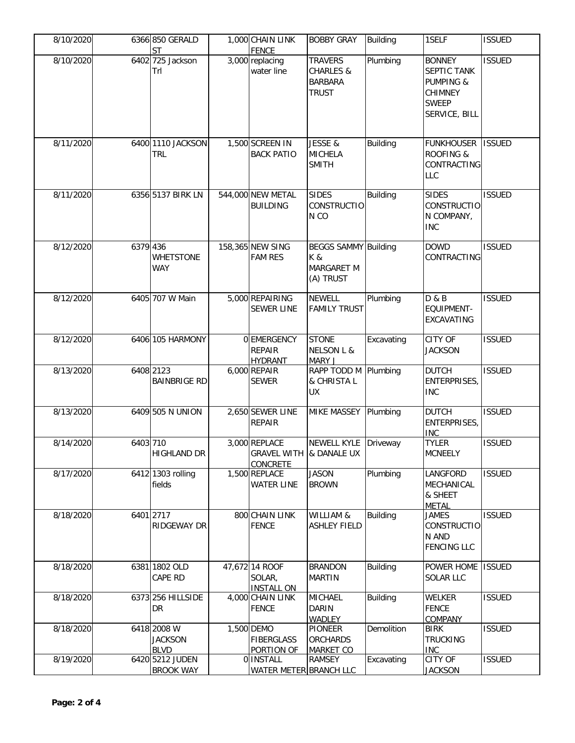| 8/10/2020 |          | 6366 850 GERALD<br><b>ST</b>                 | 1,000 CHAIN LINK<br><b>FENCE</b>                            | <b>BOBBY GRAY</b>                                                        | Building        | 1SELF                                                                                                   | <b>ISSUED</b> |
|-----------|----------|----------------------------------------------|-------------------------------------------------------------|--------------------------------------------------------------------------|-----------------|---------------------------------------------------------------------------------------------------------|---------------|
| 8/10/2020 |          | 6402 725 Jackson<br>Trl                      | 3,000 replacing<br>water line                               | <b>TRAVERS</b><br><b>CHARLES &amp;</b><br><b>BARBARA</b><br><b>TRUST</b> | Plumbing        | <b>BONNEY</b><br>SEPTIC TANK<br><b>PUMPING &amp;</b><br><b>CHIMNEY</b><br><b>SWEEP</b><br>SERVICE, BILL | <b>ISSUED</b> |
| 8/11/2020 |          | 6400 1110 JACKSON<br><b>TRL</b>              | 1,500 SCREEN IN<br><b>BACK PATIO</b>                        | JESSE &<br><b>MICHELA</b><br><b>SMITH</b>                                | <b>Building</b> | <b>FUNKHOUSER</b><br><b>ROOFING &amp;</b><br>CONTRACTING<br><b>LLC</b>                                  | <b>ISSUED</b> |
| 8/11/2020 |          | 6356 5137 BIRK LN                            | 544,000 NEW METAL<br><b>BUILDING</b>                        | <b>SIDES</b><br>CONSTRUCTIO<br>N <sub>CO</sub>                           | <b>Building</b> | <b>SIDES</b><br><b>CONSTRUCTIO</b><br>N COMPANY,<br><b>INC</b>                                          | <b>ISSUED</b> |
| 8/12/2020 | 6379 436 | <b>WHETSTONE</b><br><b>WAY</b>               | 158,365 NEW SING<br><b>FAM RES</b>                          | <b>BEGGS SAMMY Building</b><br>K &<br>MARGARET M<br>(A) TRUST            |                 | <b>DOWD</b><br>CONTRACTING                                                                              | <b>ISSUED</b> |
| 8/12/2020 |          | 6405 707 W Main                              | 5,000 REPAIRING<br><b>SEWER LINE</b>                        | <b>NEWELL</b><br><b>FAMILY TRUST</b>                                     | Plumbing        | D & B<br><b>EQUIPMENT-</b><br><b>EXCAVATING</b>                                                         | <b>ISSUED</b> |
| 8/12/2020 |          | 6406 105 HARMONY                             | 0 EMERGENCY<br><b>REPAIR</b><br><b>HYDRANT</b>              | <b>STONE</b><br><b>NELSON L &amp;</b><br>MARY J                          | Excavating      | CITY OF<br><b>JACKSON</b>                                                                               | <b>ISSUED</b> |
| 8/13/2020 |          | 6408 2123<br><b>BAINBRIGE RD</b>             | 6,000 REPAIR<br><b>SEWER</b>                                | RAPP TODD M Plumbing<br>& CHRISTA L<br><b>UX</b>                         |                 | <b>DUTCH</b><br><b>ENTERPRISES,</b><br><b>INC</b>                                                       | <b>ISSUED</b> |
| 8/13/2020 |          | 6409 505 N UNION                             | 2,650 SEWER LINE<br><b>REPAIR</b>                           | <b>MIKE MASSEY</b>                                                       | Plumbing        | <b>DUTCH</b><br>ENTERPRISES,<br><b>INC</b>                                                              | <b>ISSUED</b> |
| 8/14/2020 | 6403 710 | <b>HIGHLAND DR</b>                           | 3,000 REPLACE<br>GRAVEL WITH & DANALE UX<br><b>CONCRETE</b> | NEWELL KYLE Driveway                                                     |                 | <b>TYLER</b><br><b>MCNEELY</b>                                                                          | <b>ISSUED</b> |
| 8/17/2020 |          | 6412 1303 rolling<br>fields                  | 1,500 REPLACE<br><b>WATER LINE</b>                          | <b>JASON</b><br><b>BROWN</b>                                             | Plumbing        | LANGFORD<br>MECHANICAL<br>& SHEET<br><b>METAL</b>                                                       | <b>ISSUED</b> |
| 8/18/2020 |          | 6401 2717<br>RIDGEWAY DR                     | 800 CHAIN LINK<br><b>FENCE</b>                              | WILLIAM &<br><b>ASHLEY FIELD</b>                                         | <b>Building</b> | <b>JAMES</b><br><b>CONSTRUCTIO</b><br>N AND<br><b>FENCING LLC</b>                                       | <b>ISSUED</b> |
| 8/18/2020 |          | 6381 1802 OLD<br>CAPE RD                     | 47,672 14 ROOF<br>SOLAR,<br><b>INSTALL ON</b>               | <b>BRANDON</b><br><b>MARTIN</b>                                          | <b>Building</b> | POWER HOME<br><b>SOLAR LLC</b>                                                                          | <b>ISSUED</b> |
| 8/18/2020 |          | 6373 256 HILLSIDE<br>DR.                     | 4,000 CHAIN LINK<br><b>FENCE</b>                            | <b>MICHAEL</b><br><b>DARIN</b><br><b>WADLEY</b>                          | <b>Building</b> | WELKER<br><b>FENCE</b><br><b>COMPANY</b>                                                                | <b>ISSUED</b> |
| 8/18/2020 |          | 6418 2008 W<br><b>JACKSON</b><br><b>BLVD</b> | 1,500 DEMO<br><b>FIBERGLASS</b><br>PORTION OF               | <b>PIONEER</b><br><b>ORCHARDS</b><br><b>MARKET CO</b>                    | Demolition      | <b>BIRK</b><br><b>TRUCKING</b><br><b>INC</b>                                                            | <b>ISSUED</b> |
| 8/19/2020 |          | 6420 5212 JUDEN<br><b>BROOK WAY</b>          | 0 INSTALL<br>WATER METER BRANCH LLC                         | <b>RAMSEY</b>                                                            | Excavating      | <b>CITY OF</b><br><b>JACKSON</b>                                                                        | <b>ISSUED</b> |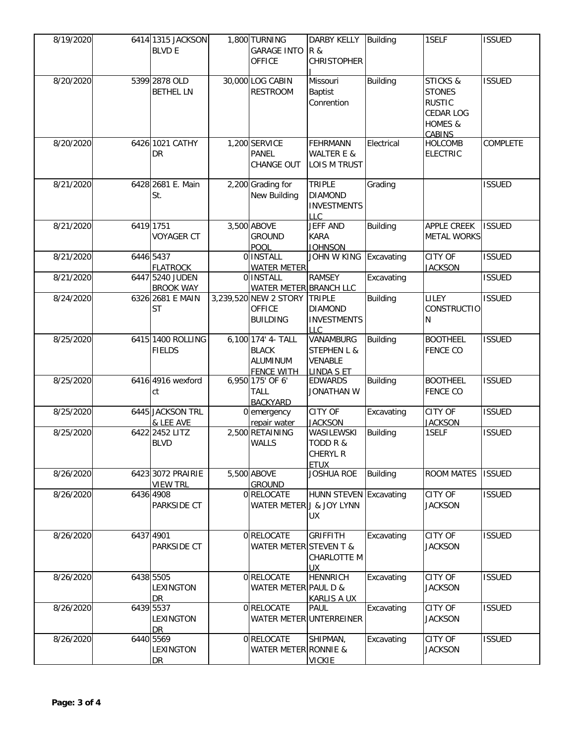| 8/19/2020 | 6414 1315 JACKSON<br><b>BLVD E</b>   | 1,800 TURNING<br><b>GARAGE INTO</b><br>OFFICE                              | <b>DARBY KELLY</b><br><b>R &amp;</b><br><b>CHRISTOPHER</b>                 | Building        | 1SELF                                                                                          | <b>ISSUED</b> |
|-----------|--------------------------------------|----------------------------------------------------------------------------|----------------------------------------------------------------------------|-----------------|------------------------------------------------------------------------------------------------|---------------|
| 8/20/2020 | 5399 2878 OLD<br><b>BETHEL LN</b>    | 30,000 LOG CABIN<br><b>RESTROOM</b>                                        | Missouri<br><b>Baptist</b><br>Conrention                                   | Building        | <b>STICKS &amp;</b><br><b>STONES</b><br><b>RUSTIC</b><br><b>CEDAR LOG</b><br>HOMES &<br>CABINS | <b>ISSUED</b> |
| 8/20/2020 | 6426 1021 CATHY<br>DR                | 1,200 SERVICE<br>PANEL<br>CHANGE OUT                                       | <b>FEHRMANN</b><br><b>WALTER E &amp;</b><br><b>LOIS M TRUST</b>            | Electrical      | <b>HOLCOMB</b><br><b>ELECTRIC</b>                                                              | COMPLETE      |
| 8/21/2020 | 6428 2681 E. Main<br>St.             | 2,200 Grading for<br>New Building                                          | <b>TRIPLE</b><br><b>DIAMOND</b><br><b>INVESTMENTS</b><br>LLC               | Grading         |                                                                                                | <b>ISSUED</b> |
| 8/21/2020 | 6419 1751<br><b>VOYAGER CT</b>       | 3,500 ABOVE<br><b>GROUND</b><br>POOL                                       | <b>JEFF AND</b><br><b>KARA</b><br><b>JOHNSON</b>                           | <b>Building</b> | APPLE CREEK<br><b>METAL WORKS</b>                                                              | <b>ISSUED</b> |
| 8/21/2020 | 6446 5437<br><b>FLATROCK</b>         | 0 INSTALL<br><b>WATER METER</b>                                            | JOHN W KING                                                                | Excavating      | CITY OF<br><b>JACKSON</b>                                                                      | <b>ISSUED</b> |
| 8/21/2020 | 6447 5240 JUDEN<br><b>BROOK WAY</b>  | 0 <b>INSTALL</b><br>WATER METER BRANCH LLC                                 | <b>RAMSEY</b>                                                              | Excavating      |                                                                                                | <b>ISSUED</b> |
| 8/24/2020 | 6326 2681 E MAIN<br><b>ST</b>        | 3,239,520 NEW 2 STORY<br><b>OFFICE</b><br><b>BUILDING</b>                  | <b>TRIPLE</b><br><b>DIAMOND</b><br><b>INVESTMENTS</b><br><b>LLC</b>        | Building        | LILEY<br><b>CONSTRUCTIO</b><br>N                                                               | <b>ISSUED</b> |
| 8/25/2020 | 6415 1400 ROLLING<br><b>FIELDS</b>   | 6,100 174' 4- TALL<br><b>BLACK</b><br><b>ALUMINUM</b><br><b>FENCE WITH</b> | VANAMBURG<br><b>STEPHEN L &amp;</b><br><b>VENABLE</b><br><b>LINDA S ET</b> | <b>Building</b> | <b>BOOTHEEL</b><br><b>FENCE CO</b>                                                             | <b>ISSUED</b> |
| 8/25/2020 | 6416 4916 wexford<br>ct              | 6,950 175' OF 6'<br><b>TALL</b><br><b>BACKYARD</b>                         | <b>EDWARDS</b><br><b>JONATHAN W</b>                                        | <b>Building</b> | <b>BOOTHEEL</b><br><b>FENCE CO</b>                                                             | <b>ISSUED</b> |
| 8/25/2020 | 6445 JACKSON TRL<br>& LEE AVE        | 0 emergency<br>repair water                                                | <b>CITY OF</b><br><b>JACKSON</b>                                           | Excavating      | CITY OF<br><b>JACKSON</b>                                                                      | <b>ISSUED</b> |
| 8/25/2020 | 6422 2452 LITZ<br><b>BLVD</b>        | 2,500 RETAINING<br>WALLS                                                   | WASILEWSKI<br>TODD R &<br>CHERYL R<br><b>ETUX</b>                          | <b>Building</b> | 1SELF                                                                                          | <b>ISSUED</b> |
| 8/26/2020 | 6423 3072 PRAIRIE<br><b>VIEW TRL</b> | 5,500 ABOVE<br><b>GROUND</b>                                               | <b>JOSHUA ROE</b>                                                          | <b>Building</b> | <b>ROOM MATES</b>                                                                              | <b>ISSUED</b> |
| 8/26/2020 | 6436 4908<br>PARKSIDE CT             | 0 RELOCATE<br>WATER METER J & JOY LYNN                                     | HUNN STEVEN<br>UX                                                          | Excavating      | CITY OF<br><b>JACKSON</b>                                                                      | <b>ISSUED</b> |
| 8/26/2020 | 6437 4901<br><b>PARKSIDE CT</b>      | 0 RELOCATE<br>WATER METER STEVEN T &                                       | <b>GRIFFITH</b><br>CHARLOTTE M<br><b>UX</b>                                | Excavating      | CITY OF<br><b>JACKSON</b>                                                                      | <b>ISSUED</b> |
| 8/26/2020 | 6438 5505<br><b>LEXINGTON</b><br>DR. | 0 RELOCATE<br>WATER METER PAUL D &                                         | <b>HENNRICH</b><br><b>KARLIS A UX</b>                                      | Excavating      | CITY OF<br><b>JACKSON</b>                                                                      | <b>ISSUED</b> |
| 8/26/2020 | 6439 5537<br>LEXINGTON<br>DR         | 0 RELOCATE                                                                 | <b>PAUL</b><br>WATER METER UNTERREINER                                     | Excavating      | CITY OF<br><b>JACKSON</b>                                                                      | <b>ISSUED</b> |
| 8/26/2020 | 6440 5569<br>LEXINGTON<br>DR         | 0 RELOCATE<br>WATER METER RONNIE &                                         | SHIPMAN,<br><b>VICKIE</b>                                                  | Excavating      | CITY OF<br><b>JACKSON</b>                                                                      | <b>ISSUED</b> |